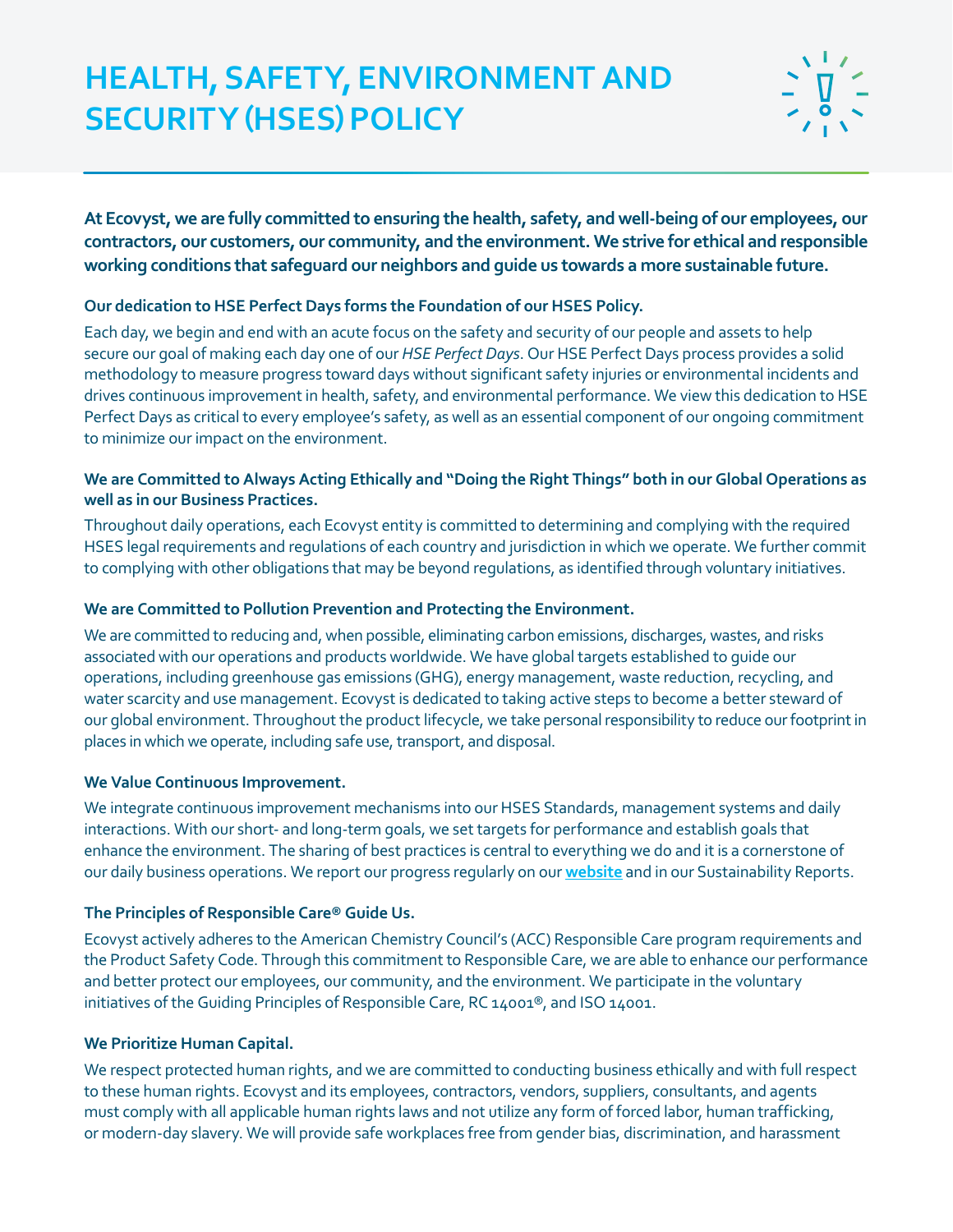# **HEALTH, SAFETY, ENVIRONMENT AND SECURITY (HSES) POLICY**



**At Ecovyst, we are fully committed to ensuring the health, safety, and well-being of our employees, our contractors, our customers, our community, and the environment. We strive for ethical and responsible working conditions that safeguard our neighbors and guide us towards a more sustainable future.** 

# **Our dedication to HSE Perfect Days forms the Foundation of our HSES Policy.**

Each day, we begin and end with an acute focus on the safety and security of our people and assets to help secure our goal of making each day one of our *HSE Perfect Days*. Our HSE Perfect Days process provides a solid methodology to measure progress toward days without significant safety injuries or environmental incidents and drives continuous improvement in health, safety, and environmental performance. We view this dedication to HSE Perfect Days as critical to every employee's safety, as well as an essential component of our ongoing commitment to minimize our impact on the environment.

## **We are Committed to Always Acting Ethically and "Doing the Right Things" both in our Global Operations as well as in our Business Practices.**

Throughout daily operations, each Ecovyst entity is committed to determining and complying with the required HSES legal requirements and regulations of each country and jurisdiction in which we operate. We further commit to complying with other obligations that may be beyond regulations, as identified through voluntary initiatives.

#### **We are Committed to Pollution Prevention and Protecting the Environment.**

We are committed to reducing and, when possible, eliminating carbon emissions, discharges, wastes, and risks associated with our operations and products worldwide. We have global targets established to guide our operations, including greenhouse gas emissions (GHG), energy management, waste reduction, recycling, and water scarcity and use management. Ecovyst is dedicated to taking active steps to become a better steward of our global environment. Throughout the product lifecycle, we take personal responsibility to reduce our footprint in places in which we operate, including safe use, transport, and disposal.

#### **We Value Continuous Improvement.**

We integrate continuous improvement mechanisms into our HSES Standards, management systems and daily interactions. With our short- and long-term goals, we set targets for performance and establish goals that enhance the environment. The sharing of best practices is central to everything we do and it is a cornerstone of our daily business operations. We report our progress regularly on our **[website](https://www.ecovyst.com)** and in our Sustainability Reports.

#### **The Principles of Responsible Care® Guide Us.**

Ecovyst actively adheres to the American Chemistry Council's (ACC) Responsible Care program requirements and the Product Safety Code. Through this commitment to Responsible Care, we are able to enhance our performance and better protect our employees, our community, and the environment. We participate in the voluntary initiatives of the Guiding Principles of Responsible Care, RC 14001®, and ISO 14001.

#### **We Prioritize Human Capital.**

We respect protected human rights, and we are committed to conducting business ethically and with full respect to these human rights. Ecovyst and its employees, contractors, vendors, suppliers, consultants, and agents must comply with all applicable human rights laws and not utilize any form of forced labor, human trafficking, or modern-day slavery. We will provide safe workplaces free from gender bias, discrimination, and harassment